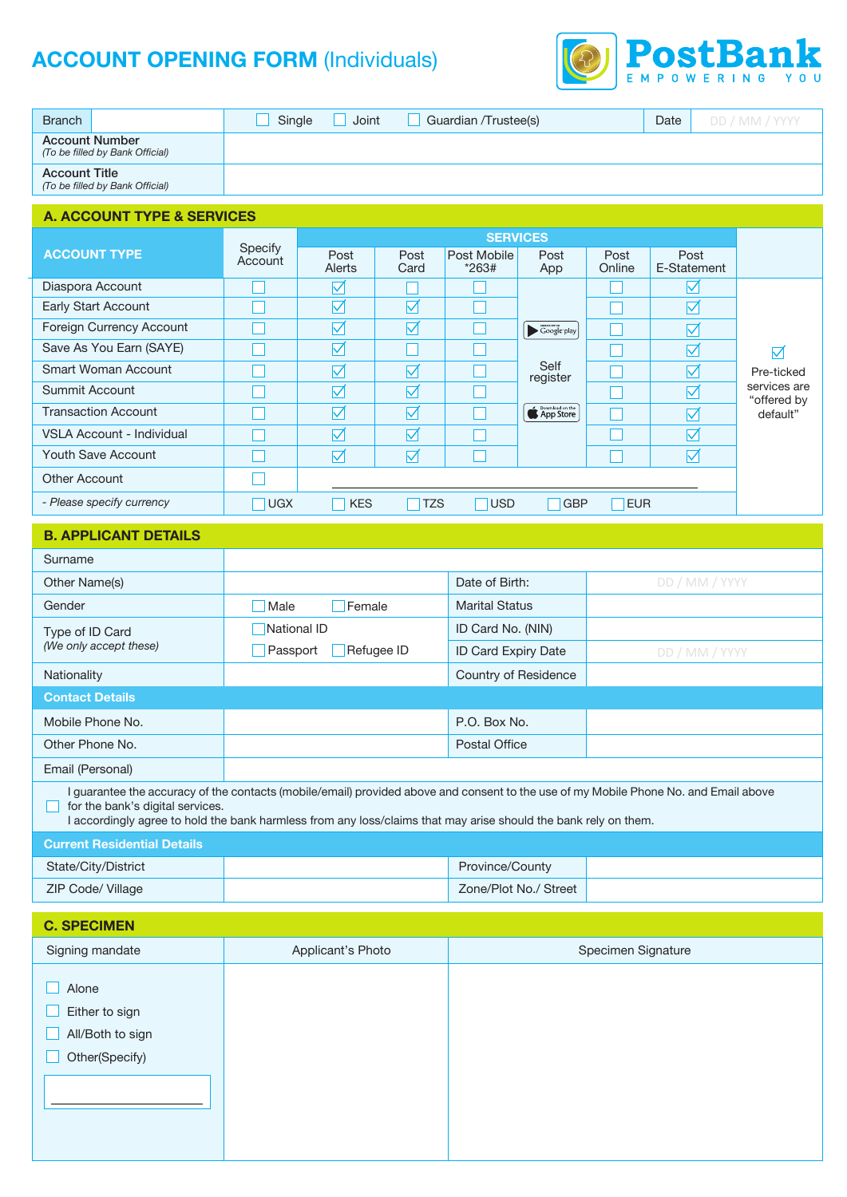# **ACCOUNT OPENING FORM (Individuals)**

Other(Specify)



| $\sim$                                                                                                                                                                                                                                                                                      |                    |                   |                      |                             |                                   |                |                      | EMPOWERING YOU              |  |  |  |  |
|---------------------------------------------------------------------------------------------------------------------------------------------------------------------------------------------------------------------------------------------------------------------------------------------|--------------------|-------------------|----------------------|-----------------------------|-----------------------------------|----------------|----------------------|-----------------------------|--|--|--|--|
| <b>Branch</b>                                                                                                                                                                                                                                                                               | Single             | Joint             |                      | Guardian /Trustee(s)        |                                   |                | Date                 | DD / MM / YYYY              |  |  |  |  |
| <b>Account Number</b><br>(To be filled by Bank Official)                                                                                                                                                                                                                                    |                    |                   |                      |                             |                                   |                |                      |                             |  |  |  |  |
| <b>Account Title</b><br>(To be filled by Bank Official)                                                                                                                                                                                                                                     |                    |                   |                      |                             |                                   |                |                      |                             |  |  |  |  |
| <b>A. ACCOUNT TYPE &amp; SERVICES</b>                                                                                                                                                                                                                                                       |                    |                   |                      |                             |                                   |                |                      |                             |  |  |  |  |
|                                                                                                                                                                                                                                                                                             |                    | <b>SERVICES</b>   |                      |                             |                                   |                |                      |                             |  |  |  |  |
| <b>ACCOUNT TYPE</b>                                                                                                                                                                                                                                                                         | Specify<br>Account | Post<br>Alerts    | Post<br>Card         | Post Mobile<br>$*263#$      | Post<br>App                       | Post<br>Online | Post<br>E-Statement  |                             |  |  |  |  |
| Diaspora Account                                                                                                                                                                                                                                                                            |                    | $\triangledown$   |                      |                             |                                   |                | $\blacktriangledown$ |                             |  |  |  |  |
| Early Start Account                                                                                                                                                                                                                                                                         |                    | ☑                 | $\boxtimes$          |                             |                                   |                | ☑                    |                             |  |  |  |  |
| Foreign Currency Account                                                                                                                                                                                                                                                                    |                    | $\boxdot$         | ☑                    |                             | $\blacktriangleright$ Google play |                | $\overline{\vee}$    |                             |  |  |  |  |
| Save As You Earn (SAYE)                                                                                                                                                                                                                                                                     |                    | ☑                 |                      |                             |                                   |                | ☑                    | $\blacktriangledown$        |  |  |  |  |
| Smart Woman Account                                                                                                                                                                                                                                                                         |                    | ☑                 | $\blacktriangledown$ |                             | Self<br>register                  |                | $\blacktriangledown$ | Pre-ticked                  |  |  |  |  |
| <b>Summit Account</b>                                                                                                                                                                                                                                                                       |                    | $\triangledown$   | ☑                    |                             |                                   |                | ☑                    | services are<br>"offered by |  |  |  |  |
| <b>Transaction Account</b>                                                                                                                                                                                                                                                                  |                    | $\boxdot$         | $\boxdot$            |                             | <b>Contract on the</b>            |                | ☑                    | default"                    |  |  |  |  |
| VSLA Account - Individual                                                                                                                                                                                                                                                                   |                    | ☑                 | $\triangledown$      |                             |                                   |                | $\triangledown$      |                             |  |  |  |  |
| Youth Save Account                                                                                                                                                                                                                                                                          |                    | $\triangledown$   | $\triangledown$      |                             |                                   |                | $\boxdot$            |                             |  |  |  |  |
| Other Account                                                                                                                                                                                                                                                                               |                    |                   |                      |                             |                                   |                |                      |                             |  |  |  |  |
| - Please specify currency                                                                                                                                                                                                                                                                   | <b>UGX</b>         | <b>KES</b>        | <b>TZS</b>           | <b>USD</b>                  | <b>GBP</b>                        | <b>EUR</b>     |                      |                             |  |  |  |  |
| <b>B. APPLICANT DETAILS</b>                                                                                                                                                                                                                                                                 |                    |                   |                      |                             |                                   |                |                      |                             |  |  |  |  |
| Surname                                                                                                                                                                                                                                                                                     |                    |                   |                      |                             |                                   |                |                      |                             |  |  |  |  |
| Other Name(s)                                                                                                                                                                                                                                                                               |                    |                   |                      | Date of Birth:              |                                   | DD / MM / YYYY |                      |                             |  |  |  |  |
| Gender                                                                                                                                                                                                                                                                                      | Male               | Female            |                      | <b>Marital Status</b>       |                                   |                |                      |                             |  |  |  |  |
| Type of ID Card                                                                                                                                                                                                                                                                             | National ID        |                   |                      | ID Card No. (NIN)           |                                   |                |                      |                             |  |  |  |  |
| (We only accept these)                                                                                                                                                                                                                                                                      | Passport           | Refugee ID        |                      | ID Card Expiry Date         |                                   |                | DD / MM / YYYY       |                             |  |  |  |  |
| Nationality                                                                                                                                                                                                                                                                                 |                    |                   |                      | <b>Country of Residence</b> |                                   |                |                      |                             |  |  |  |  |
|                                                                                                                                                                                                                                                                                             |                    |                   |                      |                             |                                   |                |                      |                             |  |  |  |  |
| <b>Contact Details</b>                                                                                                                                                                                                                                                                      |                    |                   |                      |                             |                                   |                |                      |                             |  |  |  |  |
| Mobile Phone No.                                                                                                                                                                                                                                                                            |                    |                   |                      | P.O. Box No.                |                                   |                |                      |                             |  |  |  |  |
| Other Phone No.                                                                                                                                                                                                                                                                             |                    |                   |                      | <b>Postal Office</b>        |                                   |                |                      |                             |  |  |  |  |
| Email (Personal)                                                                                                                                                                                                                                                                            |                    |                   |                      |                             |                                   |                |                      |                             |  |  |  |  |
| I guarantee the accuracy of the contacts (mobile/email) provided above and consent to the use of my Mobile Phone No. and Email above<br>for the bank's digital services.<br>I accordingly agree to hold the bank harmless from any loss/claims that may arise should the bank rely on them. |                    |                   |                      |                             |                                   |                |                      |                             |  |  |  |  |
| <b>Current Residential Details</b>                                                                                                                                                                                                                                                          |                    |                   |                      |                             |                                   |                |                      |                             |  |  |  |  |
| State/City/District                                                                                                                                                                                                                                                                         |                    |                   |                      | Province/County             |                                   |                |                      |                             |  |  |  |  |
| ZIP Code/ Village                                                                                                                                                                                                                                                                           |                    |                   |                      |                             | Zone/Plot No./ Street             |                |                      |                             |  |  |  |  |
|                                                                                                                                                                                                                                                                                             |                    |                   |                      |                             |                                   |                |                      |                             |  |  |  |  |
| <b>C. SPECIMEN</b>                                                                                                                                                                                                                                                                          |                    |                   |                      |                             |                                   |                |                      |                             |  |  |  |  |
| Signing mandate                                                                                                                                                                                                                                                                             |                    | Applicant's Photo |                      | Specimen Signature          |                                   |                |                      |                             |  |  |  |  |
|                                                                                                                                                                                                                                                                                             |                    |                   |                      |                             |                                   |                |                      |                             |  |  |  |  |
| Alone                                                                                                                                                                                                                                                                                       |                    |                   |                      |                             |                                   |                |                      |                             |  |  |  |  |
| Either to sign                                                                                                                                                                                                                                                                              |                    |                   |                      |                             |                                   |                |                      |                             |  |  |  |  |
| All/Both to sign                                                                                                                                                                                                                                                                            |                    |                   |                      |                             |                                   |                |                      |                             |  |  |  |  |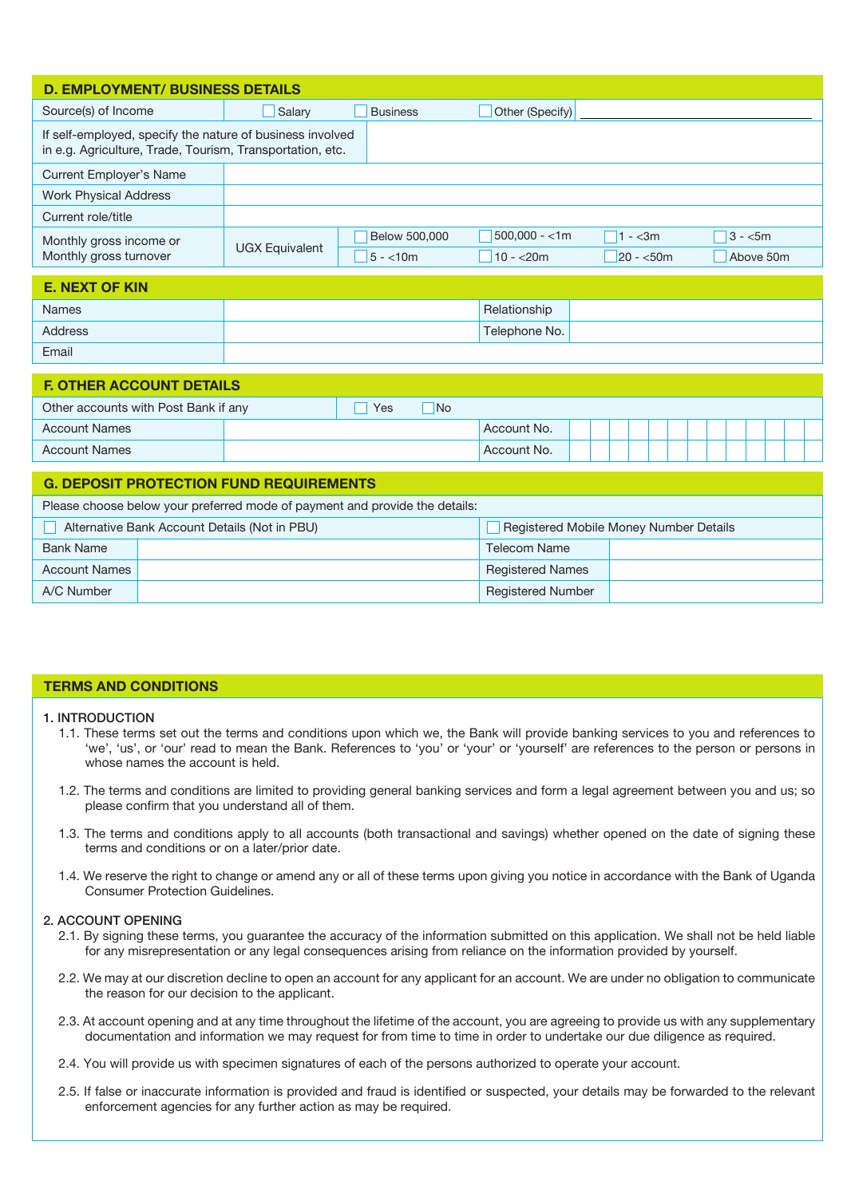| <b>D. EMPLOYMENT/ BUSINESS DETAILS</b>                                                                                 |                       |                            |                              |                        |                       |  |  |  |  |  |  |  |
|------------------------------------------------------------------------------------------------------------------------|-----------------------|----------------------------|------------------------------|------------------------|-----------------------|--|--|--|--|--|--|--|
| Source(s) of Income                                                                                                    | Salary                | <b>Business</b>            | Other (Specify)              |                        |                       |  |  |  |  |  |  |  |
| If self-employed, specify the nature of business involved<br>in e.g. Agriculture, Trade, Tourism, Transportation, etc. |                       |                            |                              |                        |                       |  |  |  |  |  |  |  |
| <b>Current Employer's Name</b>                                                                                         |                       |                            |                              |                        |                       |  |  |  |  |  |  |  |
| <b>Work Physical Address</b>                                                                                           |                       |                            |                              |                        |                       |  |  |  |  |  |  |  |
| Current role/title                                                                                                     |                       |                            |                              |                        |                       |  |  |  |  |  |  |  |
| Monthly gross income or<br>Monthly gross turnover                                                                      | <b>UGX Equivalent</b> | Below 500,000<br>$5 - 10m$ | $500,000 - 1m$<br>$10 - 20m$ | $1 - 3m$<br>$20 - 50m$ | $3 - 5m$<br>Above 50m |  |  |  |  |  |  |  |

# **E. NEXT OF KIN**

| <b>Names</b> | Relationship  |  |
|--------------|---------------|--|
| Address      | Telephone No. |  |
| Email        |               |  |

| <b>F. OTHER ACCOUNT DETAILS</b>      |  |     |           |             |  |  |  |  |  |  |  |  |  |  |
|--------------------------------------|--|-----|-----------|-------------|--|--|--|--|--|--|--|--|--|--|
| Other accounts with Post Bank if any |  | Yes | <b>No</b> |             |  |  |  |  |  |  |  |  |  |  |
| <b>Account Names</b>                 |  |     |           | Account No. |  |  |  |  |  |  |  |  |  |  |
| <b>Account Names</b>                 |  |     |           | Account No. |  |  |  |  |  |  |  |  |  |  |
|                                      |  |     |           |             |  |  |  |  |  |  |  |  |  |  |

| <b>G. DEPOSIT PROTECTION FUND REQUIREMENTS</b>                              |                                               |                                        |  |  |  |  |  |  |  |
|-----------------------------------------------------------------------------|-----------------------------------------------|----------------------------------------|--|--|--|--|--|--|--|
| Please choose below your preferred mode of payment and provide the details: |                                               |                                        |  |  |  |  |  |  |  |
|                                                                             | Alternative Bank Account Details (Not in PBU) | Registered Mobile Money Number Details |  |  |  |  |  |  |  |
| <b>Bank Name</b>                                                            |                                               | <b>Telecom Name</b>                    |  |  |  |  |  |  |  |
| <b>Account Names</b>                                                        |                                               | <b>Registered Names</b>                |  |  |  |  |  |  |  |
| A/C Number                                                                  |                                               | <b>Registered Number</b>               |  |  |  |  |  |  |  |

# **TERMS AND CONDITIONS**

#### 1. INTRODUCTION

- 1.1. These terms set out the terms and conditions upon which we, the Bank will provide banking services to you and references to 'we', 'us', or 'our' read to mean the Bank. References to 'you' or 'your' or 'yourself' are references to the person or persons in whose names the account is held.
- 1.2. The terms and conditions are limited to providing general banking services and form a legal agreement between you and us; so please confirm that you understand all of them.
- 1.3. The terms and conditions apply to all accounts (both transactional and savings) whether opened on the date of signing these terms and conditions or on a later/prior date.
- 1.4. We reserve the right to change or amend any or all of these terms upon giving you notice in accordance with the Bank of Uganda Consumer Protection Guidelines.

#### 2. ACCOUNT OPENING

- 2.1. By signing these terms, you guarantee the accuracy of the information submitted on this application. We shall not be held liable for any misrepresentation or any legal consequences arising from reliance on the information provided by yourself.
- 2.2. We may at our discretion decline to open an account for any applicant for an account. We are under no obligation to communicate the reason for our decision to the applicant.
- 2.3. At account opening and at any time throughout the lifetime of the account, you are agreeing to provide us with any supplementary documentation and information we may request for from time to time in order to undertake our due diligence as required.
- 2.4. You will provide us with specimen signatures of each of the persons authorized to operate your account.
- 2.5. If false or inaccurate information is provided and fraud is identified or suspected, your details may be forwarded to the relevant enforcement agencies for any further action as may be required.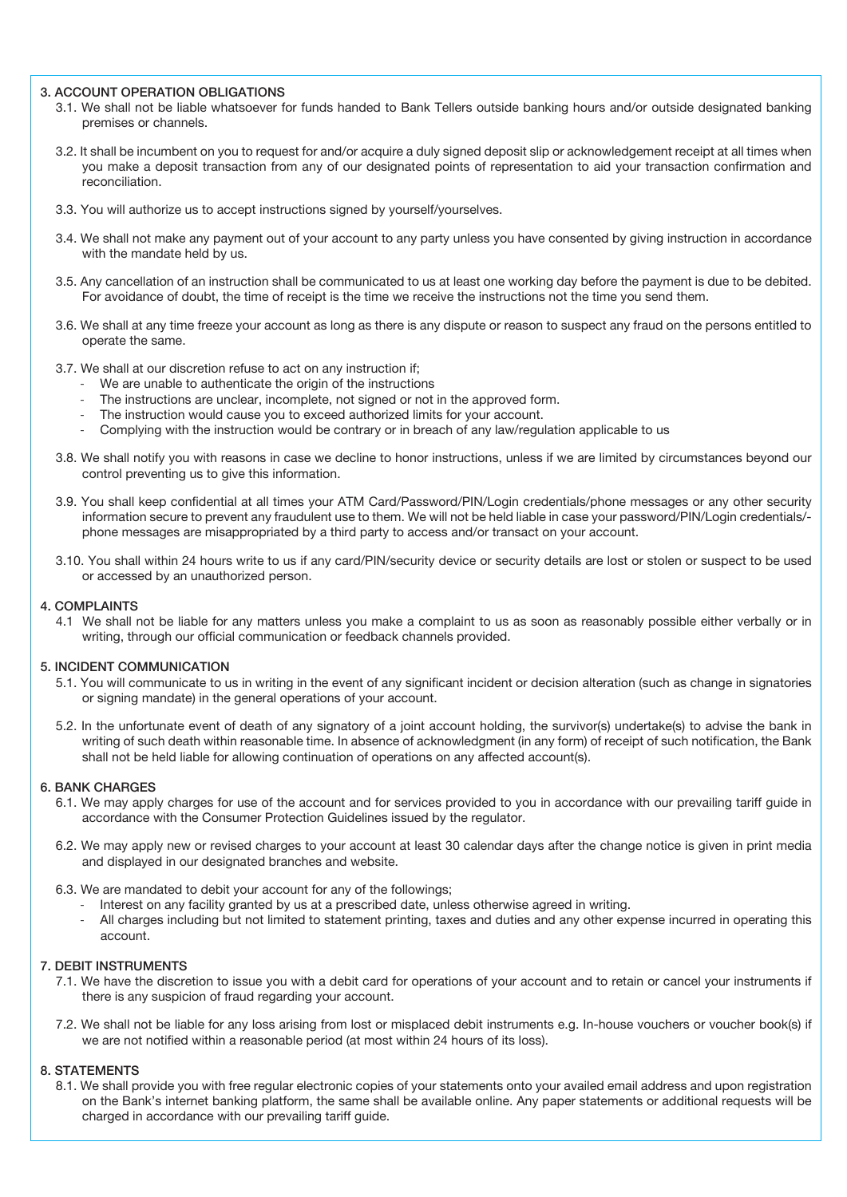# 3. ACCOUNT OPERATION OBLIGATIONS

- 3.1. We shall not be liable whatsoever for funds handed to Bank Tellers outside banking hours and/or outside designated banking premises or channels.
- 3.2. It shall be incumbent on you to request for and/or acquire a duly signed deposit slip or acknowledgement receipt at all times when you make a deposit transaction from any of our designated points of representation to aid your transaction confirmation and reconciliation.
- 3.3. You will authorize us to accept instructions signed by yourself/yourselves.
- 3.4. We shall not make any payment out of your account to any party unless you have consented by giving instruction in accordance with the mandate held by us.
- 3.5. Any cancellation of an instruction shall be communicated to us at least one working day before the payment is due to be debited. For avoidance of doubt, the time of receipt is the time we receive the instructions not the time you send them.
- 3.6. We shall at any time freeze your account as long as there is any dispute or reason to suspect any fraud on the persons entitled to operate the same.
- 3.7. We shall at our discretion refuse to act on any instruction if;
	- We are unable to authenticate the origin of the instructions
	- The instructions are unclear, incomplete, not signed or not in the approved form.
	- The instruction would cause you to exceed authorized limits for your account.
	- Complying with the instruction would be contrary or in breach of any law/regulation applicable to us
- 3.8. We shall notify you with reasons in case we decline to honor instructions, unless if we are limited by circumstances beyond our control preventing us to give this information.
- 3.9. You shall keep confidential at all times your ATM Card/Password/PIN/Login credentials/phone messages or any other security information secure to prevent any fraudulent use to them. We will not be held liable in case your password/PIN/Login credentials/ phone messages are misappropriated by a third party to access and/or transact on your account.
- 3.10. You shall within 24 hours write to us if any card/PIN/security device or security details are lost or stolen or suspect to be used or accessed by an unauthorized person.

#### 4. COMPLAINTS

4.1 We shall not be liable for any matters unless you make a complaint to us as soon as reasonably possible either verbally or in writing, through our official communication or feedback channels provided.

#### 5. INCIDENT COMMUNICATION

- 5.1. You will communicate to us in writing in the event of any significant incident or decision alteration (such as change in signatories or signing mandate) in the general operations of your account.
- 5.2. In the unfortunate event of death of any signatory of a joint account holding, the survivor(s) undertake(s) to advise the bank in writing of such death within reasonable time. In absence of acknowledgment (in any form) of receipt of such notification, the Bank shall not be held liable for allowing continuation of operations on any affected account(s).

#### 6. BANK CHARGES

- 6.1. We may apply charges for use of the account and for services provided to you in accordance with our prevailing tariff guide in accordance with the Consumer Protection Guidelines issued by the regulator.
- 6.2. We may apply new or revised charges to your account at least 30 calendar days after the change notice is given in print media and displayed in our designated branches and website.
- 6.3. We are mandated to debit your account for any of the followings;
	- Interest on any facility granted by us at a prescribed date, unless otherwise agreed in writing.
	- All charges including but not limited to statement printing, taxes and duties and any other expense incurred in operating this account.

#### 7. DEBIT INSTRUMENTS

- 7.1. We have the discretion to issue you with a debit card for operations of your account and to retain or cancel your instruments if there is any suspicion of fraud regarding your account.
- 7.2. We shall not be liable for any loss arising from lost or misplaced debit instruments e.g. In-house vouchers or voucher book(s) if we are not notified within a reasonable period (at most within 24 hours of its loss).

#### 8. STATEMENTS

8.1. We shall provide you with free regular electronic copies of your statements onto your availed email address and upon registration on the Bank's internet banking platform, the same shall be available online. Any paper statements or additional requests will be charged in accordance with our prevailing tariff guide.